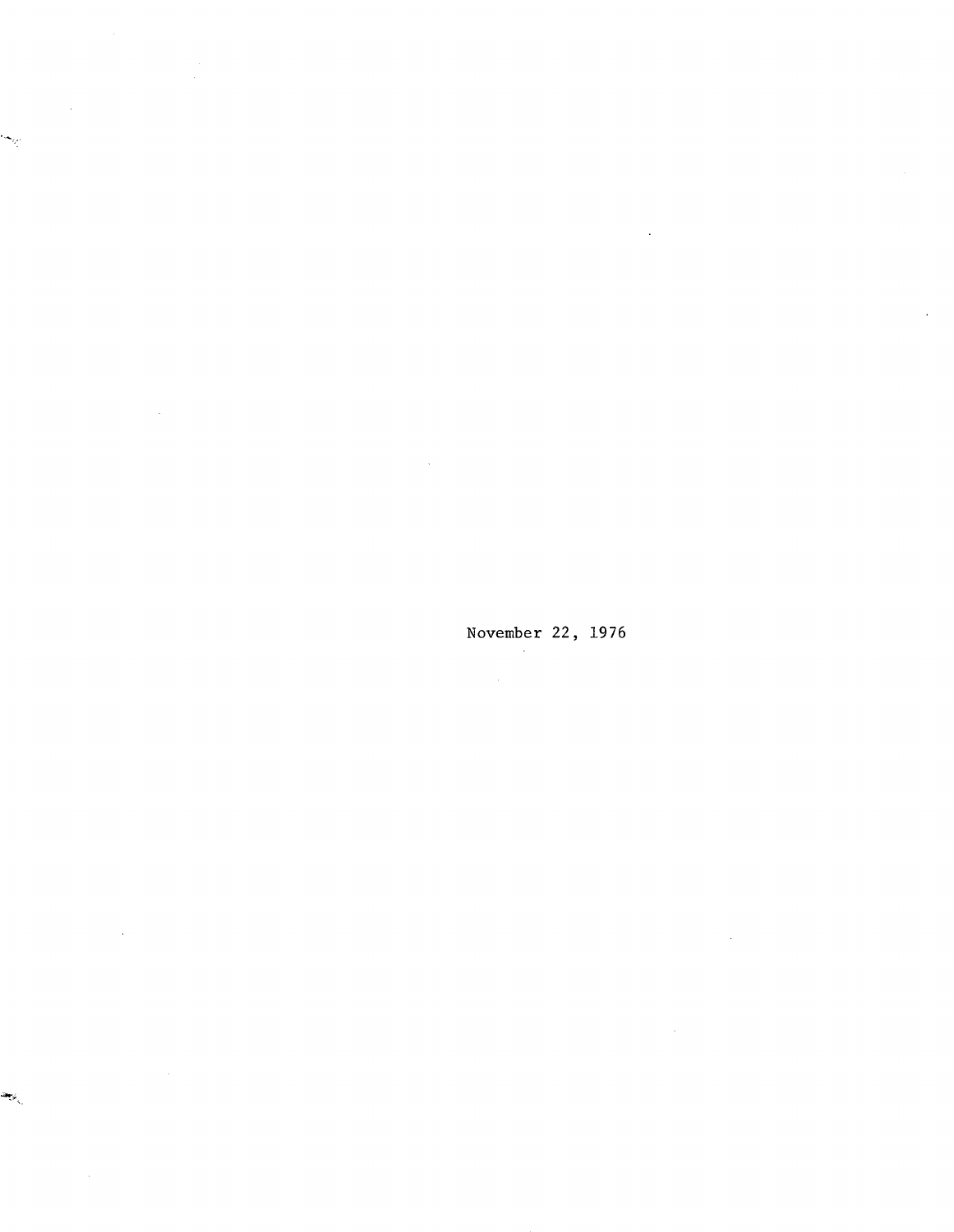November 22, 1976

 $\mathbb{R}^2$ 

 $\ddot{\phantom{a}}$ 

 $\sim$ 

 $\mathcal{A}^{\prime}$ 

 $\mathcal{A}$ 

 $\bar{z}$ 

 $\sim$ 

 $\cdot$ 

 $\hat{\boldsymbol{\beta}}$ 

يتهجف

 $\omega_{\rm q}$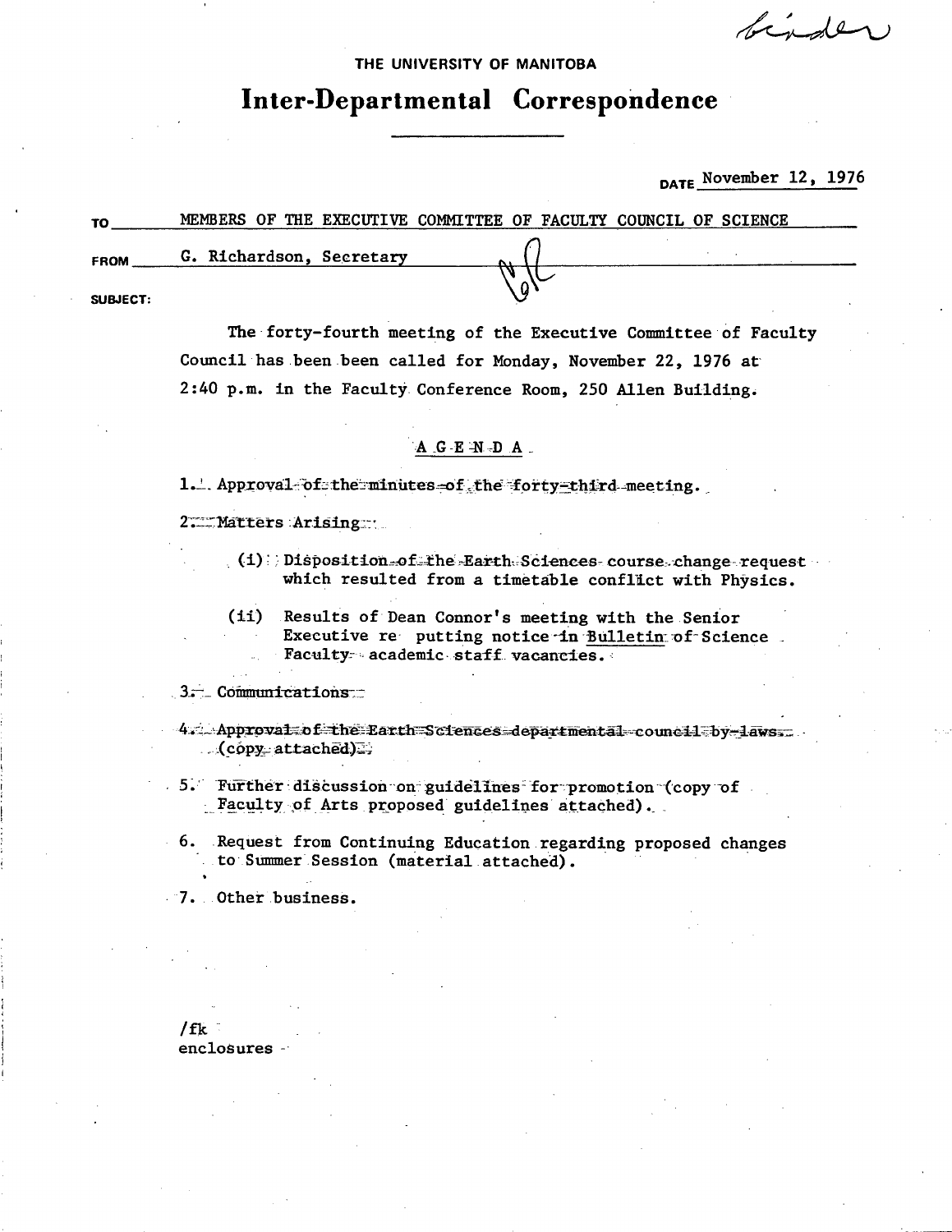binder

THE UNIVERSITY OF MANITOBA

## Inter-Departmental Correspondence

DATE November 12, 1976

| то          | MEMBERS OF THE EXECUTIVE COMMITTEE OF FACULTY COUNCIL OF SCIENCE |  |
|-------------|------------------------------------------------------------------|--|
| <b>FROM</b> | G. Richardson, Secretary                                         |  |
| SUBJECT:    |                                                                  |  |

The forty-fourth meeting of the Executive Committee of Faculty Council has been been called for Monday, November 22, 1976 at 2:40 p.m. in the Faculty Conference Room, 250 Allen Building.

## $A$   $G - E$   $N - D$   $A$

1. Approval of the minutes of the forty-third meeting.

2. Matters Arising

- $(4):$  Disposition-of the Earth Sciences course change request which resulted from a timetable conflict with Physics.
- (ii) Results of Dean Connor's meeting with the Senior Executive re putting notice in Bulletin of Science. Faculty academic staff vacancies.

3. Communications

4. Approval of the Earth Sciences departmental council by laws.  $(copy_attached)$ 

5. Further discussion on guidelines for promotion (copy of Faculty of Arts proposed guidelines attached).

6. Request from Continuing Education regarding proposed changes to Summer Session (material attached).

7. Other business.

 $/$ fk enclosures -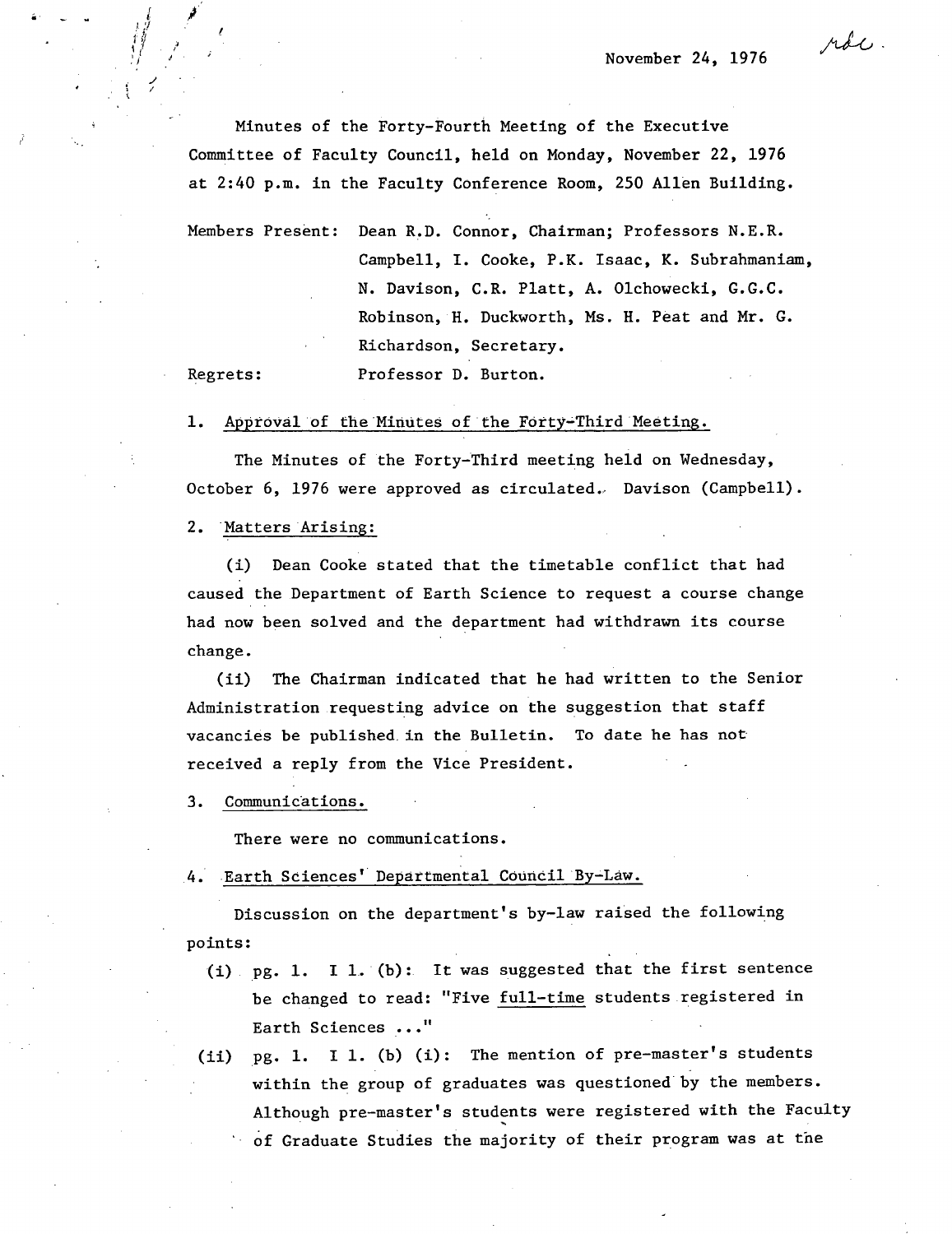Minutes of the Forty-Fourth Meeting of the Executive Committee of Faculty Council, held on Monday, November 22, 1976 at 2:40 p.m. in the Faculty Conference Room, 250 Allen Building.

Members Present: Dean R.D. Connor, Chairman; Professors N.E.R. Campbell, I. Cooke, P.K. Isaac, K. Subrahmaniam, N. Davison, C.R. Platt, A. Olchowecki, G.G.C. Robinson, H. Duckworth, Ms. H. Peat and Mr. G. Richardson, Secretary.

Regrets: Professor D. Burton.

1. Approval of the Minutes of the Forty-Third Meeting.

The Minutes of the Forty-Third meeting held on Wednesday, October 6, 1976 were approved as circulated. Davison (Campbell).

2. Matters Arising:

Dean Cooke stated that the timetable conflict that had caused the Department of Earth Science to request a course change had now been solved and the department had withdrawn its course change.

 $(ii)$ The Chairman indicated that he had written to the Senior Administration requesting advice on the suggestion that staff vacancies be published, in the Bulletin. To date he has not received a reply from the Vice President.

3. Communications.

There were no communications.

4. Earth Sciences' Departmental Council By-Law.

Discussion on the department's by-law raised the following points:

- (i)  $pg. 1. I 1. (b):$  It was suggested that the first sentence be changed to read: "Five full-time students registered in Earth Sciences . . ."
- pg. 1. I 1. (b) (i): The mention of pre-master's students  $(ii)$ within the group of graduates was questioned by the members. Although pre-master's students were registered with the Faculty of Graduate Studies the majority of their program was at the

roc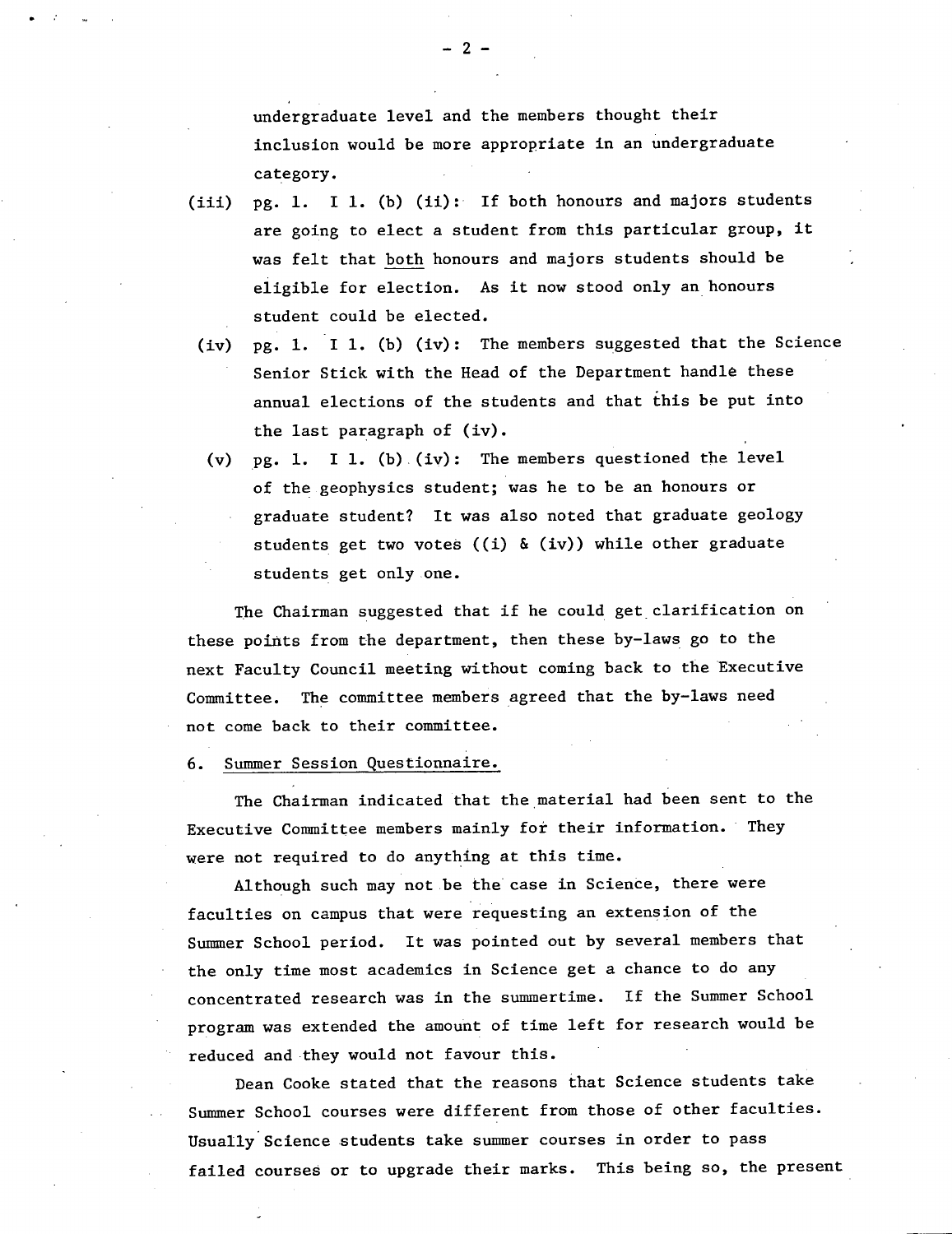undergraduate level and the members thought their inclusion would be more appropriate in an undergraduate category.

- pg. 1. I 1. (b) (ii): If both honours and majors students  $(iii)$ are going to elect a student from this particular group, it was felt that both honours and majors students should be eligible for election. As it now stood only an honours student could be elected.
	- pg. 1. I 1. (b) (iv): The members suggested that the Science Senior Stick with the Head of the Department handle these annual elections of the students and that this be put into the last paragraph of (iv).
	- pg. 1. I 1. (b). (iv): The members questioned the level of the geophysics student; was he to be an honours or graduate student? It was also noted that graduate geology students get two votes ((i) & (iv)) while other graduate students get only one.

The Chairman suggested that if he could get clarification on these points from the department, then these by-laws go to the next Faculty Council meeting without coming back to the Executive Committee. The committee members agreed that the by-laws need not come back to their committee.

6. Summer Session Questionnaire.

The Chairman indicated that the material had been sent to the Executive Committee members mainly for their information. They were not required to do anything at this time.

Although such may not be the case in Science, there were faculties on campus that were requesting an extension of the Summer School period. It was pointed out by several members that the only time most academics in Science get a chance to do any concentrated research was in the summertime. If the Summer School program was extended the amount of time left for research would be reduced and they would not favour this.

Dean Cooke stated that the reasons that Science students take Summer School courses were different from those of other faculties. Usually Science students take summer courses in order to pass failed courses or to upgrade their marks. This being so, the present

-2-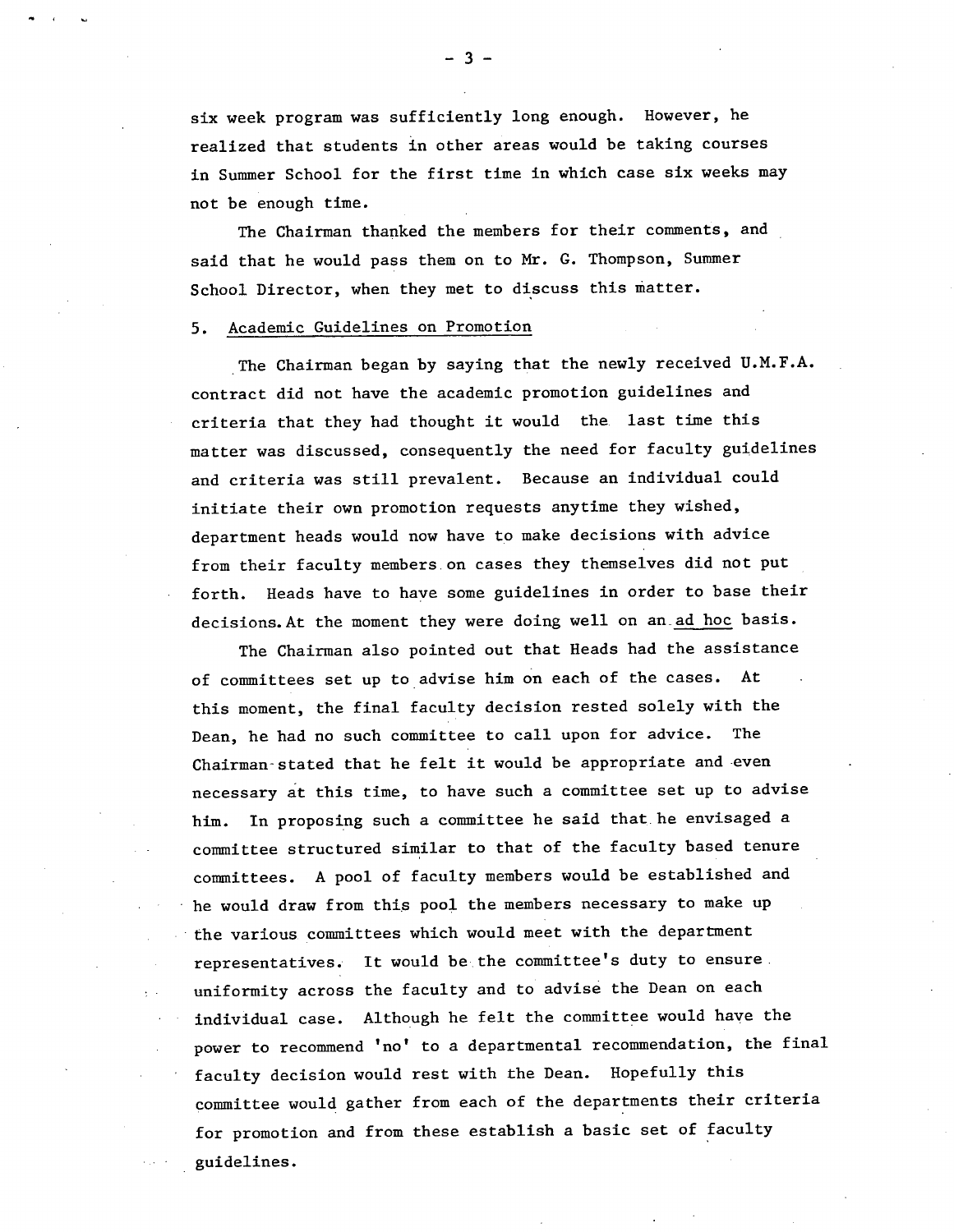six week program was sufficiently long enough. However, he realized that students in other areas would be taking courses in Summer School for the first time in which case six weeks may not be enough time.

The Chairman thanked the members for their comments, and said that he would pass them on to Mr. G. Thompson, Summer School Director, when they met to discuss this matter.

## 5. Academic Guidelines on Promotion

The Chairman began by saying that the newly received U.M.F.A. contract did not have the academic promotion guidelines and criteria that they had thought it would the last time this matter was discussed, consequently the need for faculty guidelines and criteria was still prevalent. Because an individual could initiate their own promotion requests anytime they wished, department heads would now have to make decisions with advice from their faculty members on cases they themselves did not put forth. Heads have to have some guidelines in order to base their decisions. At the moment they were doing well on an ad hoc basis.

The Chairman also pointed out that Heads had the assistance of committees set up to advise him on each of the cases. At this moment, the final faculty decision rested solely with the Dean, he had no such committee to call upon for advice. The Chairman-stated that he felt it would be appropriate and even necessary at this time, to have such a committee set up to advise him. In proposing such a committee he said that he envisaged a committee structured similar to that of the faculty based tenure committees. A pool of faculty members would be established and he would draw from this pool the members necessary to make up the various committees which would meet with the department representatives. It would be-the committee's duty to ensure. uniformity across the faculty and to advise the Dean on each individual case. Although he felt the committee would have the power to recommend 'no' to a departmental recommendation, the final faculty decision would rest with the Dean. Hopefully this committee would gather from each of the departments their criteria for promotion and from these establish a basic set of faculty guidelines.

-3-